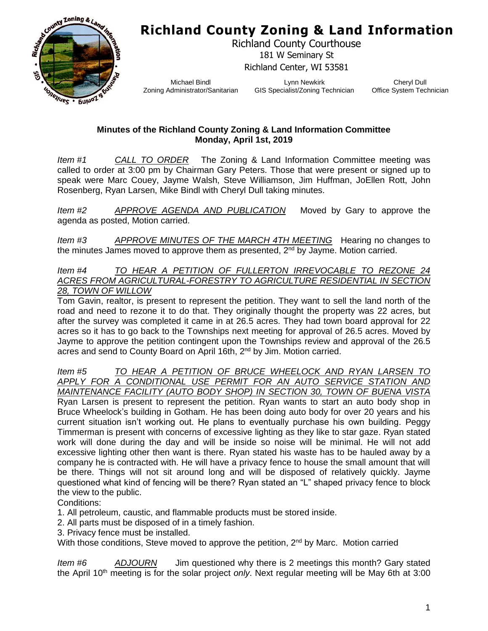**Richland County Zoning & Land Information**



Richland County Courthouse 181 W Seminary St Richland Center, WI 53581

Michael Bindl Zoning Administrator/Sanitarian

Lynn Newkirk GIS Specialist/Zoning Technician

Cheryl Dull Office System Technician

## **Minutes of the Richland County Zoning & Land Information Committee Monday, April 1st, 2019**

*Item #1 CALL TO ORDER* The Zoning & Land Information Committee meeting was called to order at 3:00 pm by Chairman Gary Peters. Those that were present or signed up to speak were Marc Couey, Jayme Walsh, Steve Williamson, Jim Huffman, JoEllen Rott, John Rosenberg, Ryan Larsen, Mike Bindl with Cheryl Dull taking minutes.

*Item #2 APPROVE AGENDA AND PUBLICATION* Moved by Gary to approve the agenda as posted, Motion carried.

*Item #3 APPROVE MINUTES OF THE MARCH 4TH MEETING* Hearing no changes to the minutes James moved to approve them as presented,  $2<sup>nd</sup>$  by Jayme. Motion carried.

*Item #4 TO HEAR A PETITION OF FULLERTON IRREVOCABLE TO REZONE 24 ACRES FROM AGRICULTURAL-FORESTRY TO AGRICULTURE RESIDENTIAL IN SECTION 28, TOWN OF WILLOW*

Tom Gavin, realtor, is present to represent the petition. They want to sell the land north of the road and need to rezone it to do that. They originally thought the property was 22 acres, but after the survey was completed it came in at 26.5 acres. They had town board approval for 22 acres so it has to go back to the Townships next meeting for approval of 26.5 acres. Moved by Jayme to approve the petition contingent upon the Townships review and approval of the 26.5 acres and send to County Board on April 16th, 2nd by Jim. Motion carried.

*Item #5 TO HEAR A PETITION OF BRUCE WHEELOCK AND RYAN LARSEN TO APPLY FOR A CONDITIONAL USE PERMIT FOR AN AUTO SERVICE STATION AND MAINTENANCE FACILITY (AUTO BODY SHOP) IN SECTION 30, TOWN OF BUENA VISTA* Ryan Larsen is present to represent the petition. Ryan wants to start an auto body shop in Bruce Wheelock's building in Gotham. He has been doing auto body for over 20 years and his current situation isn't working out. He plans to eventually purchase his own building. Peggy Timmerman is present with concerns of excessive lighting as they like to star gaze. Ryan stated work will done during the day and will be inside so noise will be minimal. He will not add excessive lighting other then want is there. Ryan stated his waste has to be hauled away by a company he is contracted with. He will have a privacy fence to house the small amount that will be there. Things will not sit around long and will be disposed of relatively quickly. Jayme questioned what kind of fencing will be there? Ryan stated an "L" shaped privacy fence to block the view to the public.

Conditions:

- 1. All petroleum, caustic, and flammable products must be stored inside.
- 2. All parts must be disposed of in a timely fashion.
- 3. Privacy fence must be installed.

With those conditions, Steve moved to approve the petition, 2<sup>nd</sup> by Marc. Motion carried

*Item #6 ADJOURN* Jim questioned why there is 2 meetings this month? Gary stated the April 10<sup>th</sup> meeting is for the solar project *only*. Next regular meeting will be May 6th at 3:00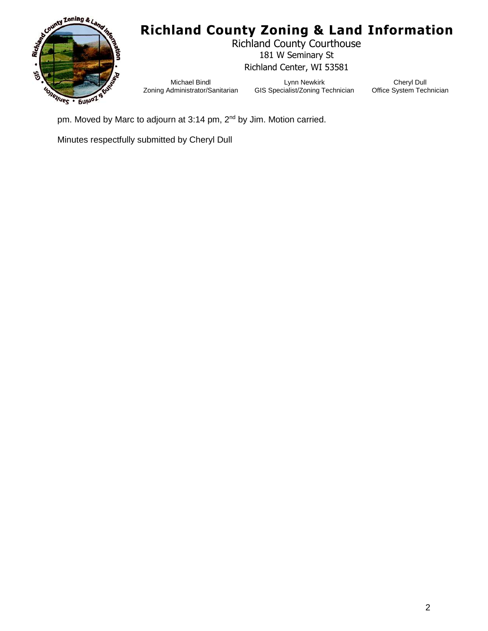

## **Richland County Zoning & Land Information**

Richland County Courthouse 181 W Seminary St Richland Center, WI 53581

Michael Bindl Zoning Administrator/Sanitarian

Lynn Newkirk GIS Specialist/Zoning Technician

Cheryl Dull Office System Technician

pm. Moved by Marc to adjourn at 3:14 pm, 2<sup>nd</sup> by Jim. Motion carried.

Minutes respectfully submitted by Cheryl Dull